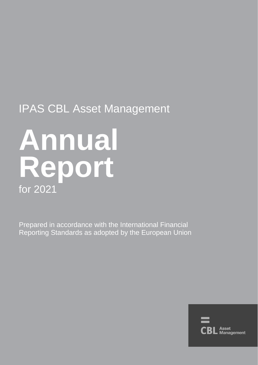## IPAS CBL Asset Management

# **Annual Report** for 2021

Prepared in accordance with the International Financial Reporting Standards as adopted by the European Union

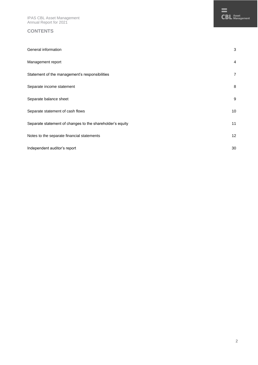IPAS CBL Asset Management Annual Report for 2021

#### **CONTENTS**

| General information                                       | 3              |
|-----------------------------------------------------------|----------------|
| Management report                                         | $\overline{4}$ |
| Statement of the management's responsibilities            | 7              |
| Separate income statement                                 | 8              |
| Separate balance sheet                                    | 9              |
| Separate statement of cash flows                          | 10             |
| Separate statement of changes to the shareholder's equity | 11             |
| Notes to the separate financial statements                | 12             |
| Independent auditor's report                              | 30             |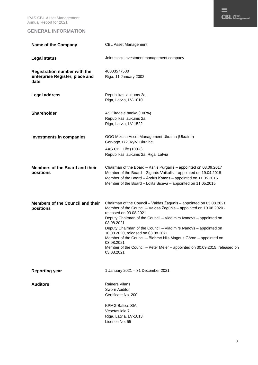IPAS CBL Asset Management Annual Report for 2021

#### **GENERAL INFORMATION**

| <b>Name of the Company</b>                                                           | <b>CBL Asset Management</b>                                                                                                                                                                                                                                                                                                                                                                                                                                                                                                                   |
|--------------------------------------------------------------------------------------|-----------------------------------------------------------------------------------------------------------------------------------------------------------------------------------------------------------------------------------------------------------------------------------------------------------------------------------------------------------------------------------------------------------------------------------------------------------------------------------------------------------------------------------------------|
| <b>Legal status</b>                                                                  | Joint stock investment management company                                                                                                                                                                                                                                                                                                                                                                                                                                                                                                     |
| <b>Registration number with the</b><br><b>Enterprise Register, place and</b><br>date | 40003577500<br>Riga, 11 January 2002                                                                                                                                                                                                                                                                                                                                                                                                                                                                                                          |
| Legal address                                                                        | Republikas laukums 2a,<br>Riga, Latvia, LV-1010                                                                                                                                                                                                                                                                                                                                                                                                                                                                                               |
| <b>Shareholder</b>                                                                   | AS Citadele banka (100%)<br>Republikas laukums 2a<br>Riga, Latvia, LV-1522                                                                                                                                                                                                                                                                                                                                                                                                                                                                    |
| <b>Investments in companies</b>                                                      | OOO Mizush Asset Management Ukraina (Ukraine)<br>Gorkogo 172, Kyiv, Ukraine                                                                                                                                                                                                                                                                                                                                                                                                                                                                   |
|                                                                                      | AAS CBL Life (100%)<br>Republikas laukums 2a, Riga, Latvia                                                                                                                                                                                                                                                                                                                                                                                                                                                                                    |
| Members of the Board and their<br>positions                                          | Chairman of the Board - Kārlis Purgailis - appointed on 08.09.2017<br>Member of the Board - Zigurds Vaikulis - appointed on 19.04.2018<br>Member of the Board - Andris Kotāns - appointed on 11.05.2015<br>Member of the Board - Lolita Sičeva - appointed on 11.05.2015                                                                                                                                                                                                                                                                      |
| <b>Members of the Council and their</b><br>positions                                 | Chairman of the Council - Vaidas Žagūnis - appointed on 03.08.2021<br>Member of the Council - Vaidas Žagūnis - appointed on 10.08.2020 -<br>released on 03.08.2021<br>Deputy Chairman of the Council - Vladimirs Ivanovs - appointed on<br>03.08.2021<br>Deputy Chairman of the Council - Vladimirs Ivanovs - appointed on<br>10.08.2020, released on 03.08.2021<br>Member of the Council - Blohmé Nils Magnus Göran - appointed on<br>03.08.2021<br>Member of the Council - Peter Meier - appointed on 30.09.2015, released on<br>03.08.2021 |
| <b>Reporting year</b>                                                                | 1 January 2021 - 31 December 2021                                                                                                                                                                                                                                                                                                                                                                                                                                                                                                             |
| <b>Auditors</b>                                                                      | Rainers Vilāns<br>Sworn Auditor<br>Certificate No. 200                                                                                                                                                                                                                                                                                                                                                                                                                                                                                        |
|                                                                                      | <b>KPMG Baltics SIA</b><br>Vesetas iela 7<br>Riga, Latvia, LV-1013<br>Licence No. 55                                                                                                                                                                                                                                                                                                                                                                                                                                                          |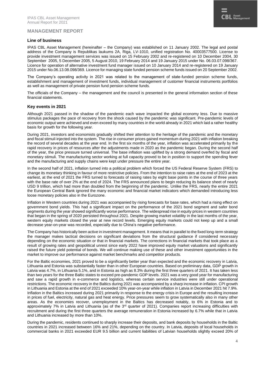#### **MANAGEMENT REPORT**

#### **Line of business**

IPAS CBL Asset Management (hereinafter – the Company) was established on 11 January 2002. The legal and postal address of the Company is Republikas laukums 2A, Riga, LV-1010, unified registration No. 40003577500. License to provide investment management services was issued on 15 February 2002 and re-registered on 10 December 2004, 30 September 2005, 5 December 2005, 5 August 2010, 19 February 2014 and 19 January 2015 under No. 06.03.07.098/367. Licence for operation of alternative investment fund manager issued on 10 January 2014 and re-registered on 19 January 2015 under No.06.13.08.098/369. Licence for managing state funded pension scheme funds issued on 20 September 2002.

The Company's operating activity in 2021 was related to the management of state-funded pension scheme funds, establishment and management of investment funds, individual management of customer financial instruments portfolios as well as management of private pension fund pension scheme funds.

The officials of the Company – the management and the council is presented in the general information section of these financial statements.

#### **Key events in 2021**

Although 2021 passed in the shadow of the pandemic each wave impacted the global economy less. Due to massive stimulus packages the pace of recovery from the shock caused by the pandemic was significant. Pre-pandemic levels of economic output were achieved and even exceed by many countries in the world already in 2021 which laid a rather healthy basis for growth for the following year.

During 2021, investors and economists gradually shifted their attention to the heritage of the pandemic and the monetary and fiscal stimuli injected into the system. The rise in consumer prices gained momentum during 2021 with inflation breaking the record of several decades at the year end. In the first six months of the year, inflation was accelerated primarily by the rapid recovery in prices of resources after the adjustments made in 2020 as the pandemic began. During the second half of the year, the price pressure turned universal. The base inflation was uplifted by a strong demand overfed by fiscal and monetary stimuli. The manufacturing sector working at full capacity proved to be in position to support the spending fever and the manufacturing and supply chains were kept under pressure the entire year.

In the second half of 2021, inflation turned into a political problem which forced the US Federal Reserve System (FRS) to change its monetary thinking in favour of more restrictive policies. From the intention to raise rates at the end of 2023 at the earliest, at the end of 2021 the FRS turned to forecasts of raising rates by eight base points in the course of three years with the base rate of over 2% at the end of 2024. The FRS announced plans to begin reducing its balance sheet of nearly USD 9 trillion, which had more than doubled from the beginning of the pandemic. Unlike the FRS, nearly the entire 2021 the European Central Bank ignored the many economic and financial market indicators which demanded introducing less loose monetary policies also in the Eurozone.

Inflation in Western countries during 2021 was accompanied by rising forecasts for base rates, which had a rising effect on government bond yields. This had a significant impact on the performance of the 2021 bond segment and safer bond segments during the year showed significantly worse performance. The widespread rise in equity prices in western countries that began in the spring of 2020 persisted throughout 2021. Despite growing market volatility in the last months of the year, western equity markets closed the year at new record levels. Emerging equity markets could not keep up and a small decrease year-on-year was recorded, especially due to China's negative performance.

The Company has historically been active in investment management. It means that in parallel to the fixed long-term strategy the manager makes tactical decisions on significant deviations from the structural guidance if considered necessary depending on the economic situation or that in financial markets. The corrections in financial markets that took place as a result of growing rates and geopolitical unrest since early 2022 have improved equity market valuations and significantly raised the future yield potential of bonds. We will continue making use of these and other investment opportunities in the market to improve our performance against market benchmarks and competitor products.

For the Baltic economies, 2021 proved to be a significantly better year than expected and the economic recovery in Latvia, Lithuania and Estonia was substantially faster than in other European countries. Based on preliminary data, GDP growth in Latvia was 4.7%, in Lithuania 5.1%, and in Estonia as high as 8.3% during the first three quarters of 2021. It has taken less than two years for the three Baltic states to exceed pre-pandemic GDP levels. 2021 was a very good year for manufacturing and saw a rapid growth in e-commerce and logistics, whereas certain service industries were still under operational restrictions. The economic recovery in the Baltics during 2021 was accompanied by a sharp increase in inflation. CPI growth in Lithuania and Estonia at the end of 2021 exceeded 10% year-on-year while inflation in Latvia in December 2021 hit 7.9%. Inflation in the Baltics increased during 2021 primarily in response to the energy crisis in Europe and the resulting increase in prices of fuel, electricity, natural gas and heat energy. Price pressures seem to grow systematically also in many other areas. As the economies recover, unemployment in the Baltics has decreased notably, to 6% in Estonia and to approximately 7% in Latvia and Lithuania (as of the  $3<sup>rd</sup>$  quarter of 2021). Companies report increasing difficulties with recruitment and during the first three quarters the average remuneration in Estonia increased by 6.7% while that in Latvia and Lithuania increased by more than 10%.

During the pandemic, residents continued to sharply increase their deposits, and bank deposits by households in the Baltic countries in 2021 increased between 16% and 21%, depending on the country. In Latvia, deposits of local households in commercial banks in 2021 exceeded EUR 9.5 billion and current liabilities of Latvian households slightly exceed 20% of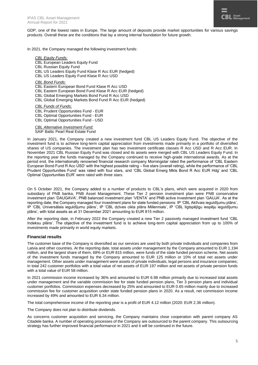GDP, one of the lowest rates in Europe. The large amount of deposits provide market opportunities for various savings products. Overall these are the conditions that lay a strong internal foundation for future growth.

In 2021, the Company managed the following investment funds:

*CBL Equity Funds:*

- CBL European Leaders Equity Fund
- CBL Russian Equity Fund
- CBL US Leaders Equity Fund Klase R Acc EUR (hedged)
- CBL US Leaders Equity Fund Klase R Acc USD
- *CBL Bond Funds:*
- CBL Eastern European Bond Fund [Klase R Acc USD](http://www.cblam.lv/lv/investment-funds/bond/eastern-european-usd/)
- CBL Eastern European Bond Fund Klase R Acc EUR (hedged)
- CBL Global Emerging Markets Bond Fund R Acc USD
- CBL Global Emerging Markets Bond Fund R Acc EUR (hedged)

*CBL Funds of Funds:*

- CBL Prudent Opportunities Fund EUR
- CBL Optimal Opportunities Fund EUR
- CBL Optimal Opportunities Fund USD

*CBL Alternative Investment Fund:* SAIF Baltic Pearl Real Estate Fund

In January 2021, the Company created a new investment fund CBL US Leaders Equity Fund. The objective of the investment fund is to achieve long-term capital appreciation from investments made primarily in a portfolio of diversified shares of US companies. The investment plan has two investment certificate classes R Acc USD and R Acc EUR. In November 2021 CBL Russian Equity Fund was closed and its assets were merged with CBL US Leaders Equity Fund. In the reporting year the funds managed by the Company continued to receive high-grade international awards. As at the period end, the internationally renowned financial research company Morningstar rated the performance of 'CBL Eastern European Bond Fund R Acc USD' with the highest possible rating – five stars (overall rating), while the performance of 'CBL Prudent Opportunities Fund' was rated with four stars, and 'CBL Global Emerg Mkts Bond R Acc EUR Hdg' and 'CBL Optimal Opportunities EUR' were rated with three stars.

On 5 October 2021, the Company added to a number of products to CBL's plans, which were acquired in 2020 from subsidiary of PNB banka, PNB Asset Management. These Tier 2 pension investment plan were PNB conservative investment plan 'DAUGAVA', PNB balanced investment plan 'VENTA' and PNB active investment plan 'GAUJA'. As at the reporting date, the Company managed four investment plans for state funded pensions: IP 'CBL Aktīvais ieguldījumu plāns', IP 'CBL Universālais ieguldījumu plāns', IP 'CBL dzīves cikla plāns Millennials', IP 'CBL Ilgtspējīgu iespēju ieguldījumu plāns', with total assets as at 31 December 2021 amounting to EUR 815 million.

After the reporting date, in February 2022 the Company created a new Tier 2 passively managed investment fund 'CBL Indeksu plāns'. The objective of the investment fund is to achieve long-term capital appreciation from up to 100% of investments made primarily in world equity markets.

#### **Financial results**

The customer base of the Company is diversified as our services are used by both private individuals and companies from Latvia and other countries. At the reporting date, total assets under management by the Company amounted to EUR 1,194 million, and the largest share of them, 68% or EUR 815 million, were funds of the state funded pension scheme. Net assets of the investment funds managed by the Company amounted to EUR 125 million or 10% of total net assets under management. Other assets under management were assets of private individuals, legal persons and insurance companies; in total 242 customer portfolios with a total value of net assets of EUR 197 million and net assets of private pension funds with a total value of EUR 58 million.

In 2021 commission income increased by 36% and amounted to EUR 6.98 million primarily due to increased total assets under management and the variable commission fee for state funded pension plans, Tier 3 pension plans and individual customer portfolios. Commission expenses decreased by 25% and amounted to EUR 0.65 million mainly due to increased commission fee for customer acquisition under state funded pension plans in 2020. As a result, net commission income increased by 49% and amounted to EUR 6.34 million.

The total comprehensive income of the reporting year is a profit of EUR 4.12 million (2020: EUR 2.36 million).

The Company does not plan to distribute dividends.

As concerns customer acquisition and servicing, the Company maintains close cooperation with parent company AS Citadele banka. A number of operating processes of the Company are outsourced to the parent company. This outsourcing strategy has further improved financial performance in 2021 and it will be continued in the future.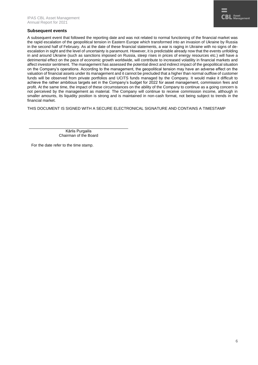#### **Subsequent events**

A subsequent event that followed the reporting date and was not related to normal functioning of the financial market was the rapid escalation of the geopolitical tension in Eastern Europe which transformed into an invasion of Ukraine by Russia in the second half of February. As at the date of these financial statements, a war is raging in Ukraine with no signs of deescalation in sight and the level of uncertainty is paramount. However, it is predictable already now that the events unfolding in and around Ukraine (such as sanctions imposed on Russia, steep rises in prices of energy resources etc.) will have a detrimental effect on the pace of economic growth worldwide, will contribute to increased volatility in financial markets and affect investor sentiment. The management has assessed the potential direct and indirect impact of the geopolitical situation on the Company's operations. According to the management, the geopolitical tension may have an adverse effect on the valuation of financial assets under its management and it cannot be precluded that a higher than normal outflow of customer funds will be observed from private portfolios and UCITS funds managed by the Company. It would make it difficult to achieve the rather ambitious targets set in the Company's budget for 2022 for asset management, commission fees and profit. At the same time, the impact of these circumstances on the ability of the Company to continue as a going concern is not perceived by the management as material. The Company will continue to receive commission income, although in smaller amounts, its liquidity position is strong and is maintained in non-cash format, not being subject to trends in the financial market.

THIS DOCUMENT IS SIGNED WITH A SECURE ELECTRONICAL SIGNATURE AND CONTAINS A TIMESTAMP

Kārlis Purgailis Chairman of the Board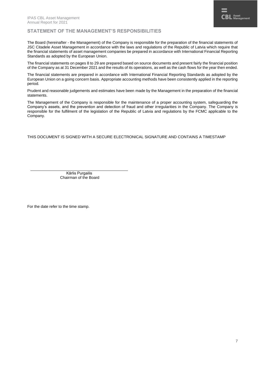#### **STATEMENT OF THE MANAGEMENT'S RESPONSIBILITIES**

The Board (hereinafter - the Management) of the Company is responsible for the preparation of the financial statements of JSC Citadele Asset Management in accordance with the laws and regulations of the Republic of Latvia which require that the financial statements of asset management companies be prepared in accordance with International Financial Reporting Standards as adopted by the European Union.

The financial statements on pages 8 to 29 are prepared based on source documents and present fairly the financial position of the Company as at 31 December 2021 and the results of its operations, as well as the cash flows for the year then ended.

The financial statements are prepared in accordance with International Financial Reporting Standards as adopted by the European Union on a going concern basis. Appropriate accounting methods have been consistently applied in the reporting period.

Prudent and reasonable judgements and estimates have been made by the Management in the preparation of the financial statements.

The Management of the Company is responsible for the maintenance of a proper accounting system, safeguarding the Company's assets, and the prevention and detection of fraud and other irregularities in the Company. The Company is responsible for the fulfilment of the legislation of the Republic of Latvia and regulations by the FCMC applicable to the Company.

THIS DOCUMENT IS SIGNED WITH A SECURE ELECTRONICAL SIGNATURE AND CONTAINS A TIMESTAMP

Kārlis Purgailis Chairman of the Board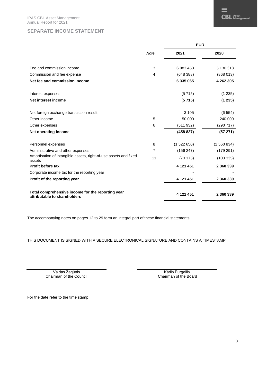|                                                                                   | <b>EUR</b>  |           |           |  |
|-----------------------------------------------------------------------------------|-------------|-----------|-----------|--|
|                                                                                   | <b>Note</b> | 2021      | 2020      |  |
| Fee and commission income                                                         | 3           | 6 983 453 | 5 130 318 |  |
| Commission and fee expense                                                        | 4           | (648388)  | (868013)  |  |
| Net fee and commission income                                                     |             | 6 335 065 | 4 262 305 |  |
| Interest expenses                                                                 |             | (5715)    | (1235)    |  |
| Net interest income                                                               |             | (5715)    | (1235)    |  |
| Net foreign exchange transaction result                                           |             | 3 1 0 5   | (6554)    |  |
| Other income                                                                      | 5           | 50 000    | 240 000   |  |
| Other expenses                                                                    | 6           | (511932)  | (290 717) |  |
| Net operating income                                                              |             | (458827)  | (57271)   |  |
| Personnel expenses                                                                | 8           | (1522650) | (1560834) |  |
| Administrative and other expenses                                                 | 7           | (156 247) | (179291)  |  |
| Amortisation of intangible assets, right-of-use assets and fixed<br>assets        | 11          | (70175)   | (103 335) |  |
| <b>Profit before tax</b>                                                          |             | 4 121 451 | 2 360 339 |  |
| Corporate income tax for the reporting year                                       |             |           |           |  |
| Profit of the reporting year                                                      |             | 4 121 451 | 2 360 339 |  |
| Total comprehensive income for the reporting year<br>attributable to shareholders |             | 4 121 451 | 2 360 339 |  |

The accompanying notes on pages 12 to 29 form an integral part of these financial statements.

THIS DOCUMENT IS SIGNED WITH A SECURE ELECTRONICAL SIGNATURE AND CONTAINS A TIMESTAMP

Vaidas Žagūnis Chairman of the Council

Kārlis Purgailis Chairman of the Board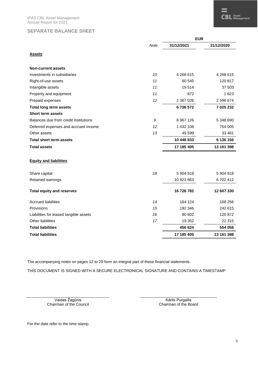#### **SEPARATE BALANCE SHEET**

|                                        |      | <b>EUR</b>  |            |  |
|----------------------------------------|------|-------------|------------|--|
|                                        | Note | 31/12/2021  | 31/12/2020 |  |
| <u>Assets</u>                          |      |             |            |  |
| <b>Non-current assets</b>              |      |             |            |  |
| Investments in subsidiaries            | 10   | 4 268 615   | 4 268 615  |  |
| Right-of-use assets                    | 11   | 80 545      | 120 817    |  |
| Intangible assets                      | 11   | 19514       | 37 503     |  |
| Property and equipment                 | 11   | 872         | 1 6 2 3    |  |
| Prepaid expenses                       | 12   | 2 367 026   | 2 596 674  |  |
| <b>Total long term assets</b>          |      | 6736572     | 7 025 232  |  |
| <b>Short term assets</b>               |      |             |            |  |
| Balances due from credit institutions  | 9    | 8 9 67 1 26 | 5 348 690  |  |
| Deferred expenses and accrued income   | 12   | 1 432 108   | 754 005    |  |
| Other assets                           | 13   | 49 599      | 33 461     |  |
| <b>Total short term assets</b>         |      | 10 448 833  | 6 136 156  |  |
| <b>Total assets</b>                    |      | 17 185 405  | 13 161 388 |  |
| <b>Equity and liabilities</b>          |      |             |            |  |
| Share capital                          | 18   | 5 904 918   | 5904918    |  |
| Retained earnings                      |      | 10 823 863  | 6702412    |  |
| <b>Total equity and reserves</b>       |      | 16 728 782  | 12 607 330 |  |
| <b>Accrued liabilities</b>             | 14   | 164 124     | 168 256    |  |
| Provisions                             | 15   | 192 346     | 242 615    |  |
| Liabilities for leased tangible assets | 16   | 80 802      | 120 872    |  |
| Other liabilities                      | 17   | 19 352      | 22 3 15    |  |
| <b>Total liabilities</b>               |      | 456 624     | 554 058    |  |
| <b>Total liabilities</b>               |      | 17 185 405  | 13 161 388 |  |

The accompanying notes on pages 12 to 29 form an integral part of these financial statements.

THIS DOCUMENT IS SIGNED WITH A SECURE ELECTRONICAL SIGNATURE AND CONTAINS A TIMESTAMP

Vaidas Žagūnis Chairman of the Council

Kārlis Purgailis Chairman of the Board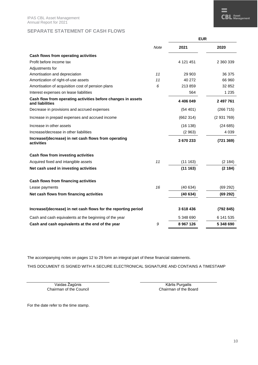#### **SEPARATE STATEMENT OF CASH FLOWS**

|                                                                                 |             | <b>EUR</b> |           |  |
|---------------------------------------------------------------------------------|-------------|------------|-----------|--|
|                                                                                 | <b>Note</b> | 2021       | 2020      |  |
| Cash flows from operating activities                                            |             |            |           |  |
| Profit before income tax                                                        |             | 4 121 451  | 2 360 339 |  |
| Adjustments for                                                                 |             |            |           |  |
| Amortisation and depreciation                                                   | 11          | 29 903     | 36 375    |  |
| Amortization of right-of-use assets                                             | 11          | 40 272     | 66 960    |  |
| Amortisation of acquisition cost of pension plans                               | 6           | 213859     | 32 852    |  |
| Interest expenses on lease liabilities                                          |             | 564        | 1 2 3 5   |  |
| Cash flow from operating activities before changes in assets<br>and liabilities |             | 4 406 049  | 2 497 761 |  |
| Decrease in provisions and accrued expenses                                     |             | (54 401)   | (266 715) |  |
| Increase in prepaid expenses and accrued income                                 |             | (662314)   | (2931769) |  |
| Increase in other assets                                                        |             | (16138)    | (24685)   |  |
| Increase/decrease in other liabilities                                          |             | (2963)     | 4 0 3 9   |  |
| Increase/(decrease) in net cash flows from operating<br>activities              |             | 3670233    | (721369)  |  |
| Cash flow from investing activities                                             |             |            |           |  |
| Acquired fixed and intangible assets                                            | 11          | (11163)    | (2 184)   |  |
| Net cash used in investing activities                                           |             | (11163)    | (2184)    |  |
| Cash flows from financing activities                                            |             |            |           |  |
| Lease payments                                                                  | 16          | (40634)    | (69 292)  |  |
| Net cash flows from financing activities                                        |             | (40634)    | (69 292)  |  |
| Increase/(decrease) in net cash flows for the reporting period                  |             | 3618436    | (792845)  |  |
| Cash and cash equivalents at the beginning of the year                          |             | 5 348 690  | 6 141 535 |  |
| Cash and cash equivalents at the end of the year                                | 9           | 8 967 126  | 5 348 690 |  |

The accompanying notes on pages 12 to 29 form an integral part of these financial statements.

THIS DOCUMENT IS SIGNED WITH A SECURE ELECTRONICAL SIGNATURE AND CONTAINS A TIMESTAMP

Vaidas Žagūnis Chairman of the Council

Kārlis Purgailis Chairman of the Board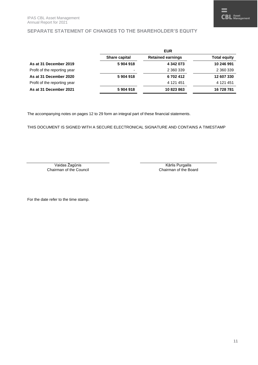#### **SEPARATE STATEMENT OF CHANGES TO THE SHAREHOLDER'S EQUITY**

|                              |                      | <b>EUR</b>               |                     |
|------------------------------|----------------------|--------------------------|---------------------|
|                              | <b>Share capital</b> | <b>Retained earnings</b> | <b>Total equity</b> |
| As at 31 December 2019       | 5904918              | 4 342 073                | 10 246 991          |
| Profit of the reporting year |                      | 2 360 339                | 2 360 339           |
| As at 31 December 2020       | 5904918              | 6702412                  | 12 607 330          |
| Profit of the reporting year |                      | 4 121 451                | 4 121 451           |
| As at 31 December 2021       | 5904918              | 10 823 863               | 16 728 781          |

The accompanying notes on pages 12 to 29 form an integral part of these financial statements.

THIS DOCUMENT IS SIGNED WITH A SECURE ELECTRONICAL SIGNATURE AND CONTAINS A TIMESTAMP

Vaidas Žagūnis Chairman of the Council

Kārlis Purgailis Chairman of the Board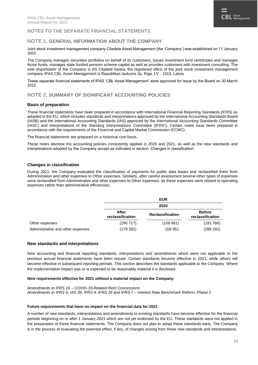#### **NOTES TO THE SEPARATE FINANCIAL STATEMENTS**

#### **NOTE 1. GENERAL INFORMATION ABOUT THE COMPANY**

Joint stock investment management company Citadele Asset Management (the 'Company') was established on 11 January 2002.

The Company manages securities portfolios on behalf of its customers, issues investment fund certificates and manages those funds, manages state funded pension scheme capital as well as provides customers with investment consulting. The sole shareholder of the Company is AS Citadele banka, the registered office of the joint stock investment management company IPAS CBL Asset Management is Republikas laukums 2a, Riga, LV - 1010, Latvia.

These separate financial statements of IPAS 'CBL Asset Management' were approved for issue by the Board on 30 March 2022.

#### **NOTE 2. SUMMARY OF SIGNIFICANT ACCOUNTING POLICIES**

#### **Basis of preparation**

These financial statements have been prepared in accordance with International Financial Reporting Standards (IFRS) as adopted in the EU, which includes standards and interpretations approved by the International Accounting Standards Board (IASB) and the International Accounting Standards (IAS) approved by the International Accounting Standards Committee (IASC) and interpretations of the Standing Interpretations Committee (IFRIC). Certain notes have been prepared in accordance with the requirements of the Financial and Capital Market Commission (FCMC).

The financial statements are prepared on a historical cost basis.

These notes disclose the accounting policies consistently applied in 2020 and 2021, as well as the new standards and interpretations adopted by the Company except as indicated in section 'Changes in classification'.

#### **Changes in classification**

During 2021, the Company evaluated the classification of payments for public data bases and reclassified them from Administration and other expenses to Other expenses. Similarly, after careful assessment several other types of expenses were reclassified from Administrative and other expenses to Other expenses, as these expenses were related to operating expenses rather than administrative efficiencies.

|                                   |                           | <b>EUR</b>              |                                   |
|-----------------------------------|---------------------------|-------------------------|-----------------------------------|
|                                   |                           | 2020                    |                                   |
|                                   | After<br>reclassification | <b>Reclassification</b> | <b>Before</b><br>reclassification |
| Other expenses                    | (290717)                  | (108951)                | (181766)                          |
| Administrative and other expenses | (179 291)                 | 108 951                 | (288 242)                         |

#### **New standards and interpretations**

New accounting and financial reporting standards, interpretations and amendments which were not applicable to the previous annual financial statements have been issued. Certain standards became effective in 2021, while others will become effective in subsequent reporting periods. This section describes the standards applicable to the Company. Where the implementation impact was or is expected to be reasonably material it is disclosed.

#### **New requirements effective for 2021 without a material impact on the Company**

*Amendments to IFRS 16 – COVID-19-Related Rent Concessions Amendments to IFRS 9, IAS 39, IFRS 4, IFRS 16 and IFRS 7 – Interest Rate Benchmark Reform, Phase 2*

#### **Future requirements that have no impact on the financial data for 2021**

A number of new standards, interpretations and amendments to existing standards have become effective for the financial periods beginning on or after 1 January 2021 which are not yet endorsed by the EU. These standards were not applied in the preparation of these financial statements. The Company does not plan to adopt these standards early. The Company is in the process of evaluating the potential effect, if any, of changes arising from these new standards and interpretations.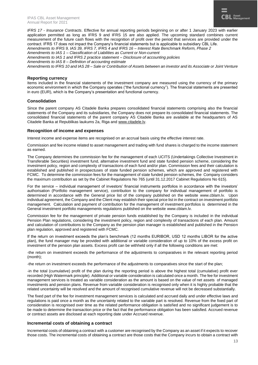*IFRS 17 - Insurance Contracts*. Effective for annual reporting periods beginning on or after 1 January 2023 with earlier application permitted as long as IFRS 9 and IFRS 15 are also applied. The upcoming standard combines current measurement of the future cash flows with the recognition of profit over the period that services are provided under the contract. IFRS 17 does not impact the Company's financial statements but is applicable to subsidiary CBL Life.

*Amendments to IFRS 9, IAS 39, IFRS 7, IFRS 4 and IFRS 16 – Interest Rate Benchmark Reform, Phase 2 Amendments to IAS 1 – Classification of Liabilities as Current or Non-current*

*Amendments to IAS 1 and IFRS 2 practice statement – Disclosure of accounting policies Amendments to IAS 8 – Definition of accounting estimate*

*Amendments to IFRS 10 and IAS 28 – Sale or Contribution of Assets between an investor and its Associate or Joint Venture*

#### **Reporting currency**

Items included in the financial statements of the investment company are measured using the currency of the primary economic environment in which the Company operates ("the functional currency"). The financial statements are presented in euro (EUR), which is the Company's presentation and functional currency.

#### **Consolidation**

Since the parent company AS Citadele Banka prepares consolidated financial statements comprising also the financial statements of the Company and its subsidiaries, the Company does not prepare its consolidated financial statements. The consolidated financial statements of the parent company AS Citadele Banka are available at the headquarters of AS Citadele Banka at Republikas laukums 2a, Riga and [www.citadele.lv.](http://www.citadele.lv/)

#### **Recognition of income and expenses**

Interest income and expense items are recognised on an accrual basis using the effective interest rate.

Commission and fee income related to asset management and trading with fund shares is charged to the income statement as earned.

The Company determines the commission fee for the management of each UCITS (Undertakings Collective Investment in Transferable Securities) investment fund, alternative investment fund and state funded pension scheme, considering the investment policy, region and complexity of transactions of each fund and/or plan. Commission fees and their calculation is established and published in prospectuses of state funded pension schemes, which are approved and registered with FCMC. To determine the commission fees for the management of state funded pension schemes, the Company considers the maximum contribution as set by the Cabinet Regulations No 765 (until 31.12.2017 Cabinet Regulations No 615).

For the service – individual management of investors' financial instruments portfolios in accordance with the investors' authorisation (Portfolio management service), contribution to the company for individual management of portfolio is determined in accordance with the General price list of the company published on the website [www.cblam.lv.](http://www.cblam.lv/) Upon individual agreement, the Company and the Client may establish their special price list in the contract on investment portfolio management. Calculation and payment of contribution for the management of investment portfolios is determined in the General investment portfolio managements regulations published on the website [www.cblam.lv.](http://www.cblam.lv/)

Commission fee for the management of private pension funds established by the Company is included in the individual Pension Plan regulations, considering the investment policy, region and complexity of transactions of each plan. Amount and calculation of contributions to the Company as the pension plan manager is established and published in the Pension plan regulation, approved and registered with FCMC.

If the return on investment exceeds the plan's benchmark (12 months EURIBOR, USD 12 months LIBOR for the active plan), the fund manager may be provided with additional or variable consideration of up to 10% of the excess profit on investment of the pension plan assets. Excess profit can be withheld only if all the following conditions are met:

-the return on investment exceeds the performance of the adjustments to comparatives in the relevant reporting period (month);

-the return on investment exceeds the performance of the adjustments to comparatives since the start of the plan;

-in the total (cumulative) profit of the plan during the reporting period is above the highest total (cumulative) profit ever recorded (High Watermark principle). Additional or variable consideration is calculated once a month. The fee for investment management services is treated as variable consideration as the amount is based on the value of net assets of managed investments and pension plans. Revenue from variable consideration is recognised only when it is highly probable that the related uncertainty will be resolved and the amount of recognised cumulative revenue will not be decreased substantially.

The fixed part of the fee for investment management services is calculated and accrued daily and under effective laws and regulations is paid once a month as the uncertainty related to the variable part is resolved. Revenue from the fixed part of consideration is recognised over time as the related performance obligation is satisfied and no significant judgement is to be made to determine the transaction price or the fact that the performance obligation has been satisfied. Accrued revenue or contract assets are disclosed at each reporting date under Accrued revenue.

#### **Incremental costs of obtaining a contract**

Incremental costs of obtaining a contract with a customer are recognised by the Company as an asset if it expects to recover those costs. The incremental costs of obtaining a contract are those costs that the Company incurs to obtain a contract with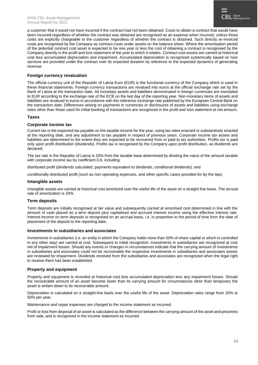a customer that it would not have incurred if the contract had not been obtained. Costs to obtain a contract that would have been incurred regardless of whether the contract was obtained are recognised as an expense when incurred, unless those costs are explicitly chargeable to the customer regardless of whether the contract is obtained. Such directly re-invoiced costs are recognised by the Company as contract costs under assets on the balance sheet. Where the amortisation period of the potential contract cost asset is expected to be one year or less the cost of obtaining a contract is recognised by the Company directly in the profit and loss statement of the year to which it relates. Contract cost assets are carried at historical cost less accumulated depreciation and impairment. Accumulated depreciation is recognised systemically based on how services are provided under the contract over its expected duration by reference to the expected dynamics of generating revenue.

#### **Foreign currency revaluation**

The official currency unit of the Republic of Latvia Euro (EUR) is the functional currency of the Company which is used in these financial statements. Foreign currency transactions are revalued into euros at the official exchange rate set by the Bank of Latvia at the transaction date. All monetary assets and liabilities denominated in foreign currencies are translated to EUR according to the exchange rate of the ECB on the last day of the reporting year. Non-monetary items of assets and liabilities are revalued to euros in accordance with the reference exchange rate published by the European Central Bank on the transaction date. Differences arising on payments in currencies or disclosures of assets and liabilities using exchange rates other than those used for initial booking of transactions are recognized in the profit and loss statement at net amount.

#### **Taxes**

#### **Corporate income tax**

Current tax is the expected tax payable on the taxable income for the year, using tax rates enacted or substantively enacted at the reporting date, and any adjustment to tax payable in respect of previous years. Corporate income tax assets and liabilities are determined to the extent they are expected to be recovered from or paid to tax authorities. Profits tax is paid only upon profit distribution (dividends). Profits tax is recognised by the Company upon profit distribution, as dividends are declared.

The tax rate in the Republic of Latvia is 20% from the taxable base determined by dividing the value of the amount taxable with corporate income tax by coefficient 0.8, including:

distributed profit (dividends calculated, payments equivalent to dividends, conditional dividends), and

conditionally distributed profit (such as non-operating expenses, and other specific cases provided for by the law).

#### **Intangible assets**

Intangible assets are carried at historical cost amortized over the useful life of the asset on a straight line basis. The annual rate of amortization is 33%.

#### **Term deposits**

Term deposits are initially recognised at fair value and subsequently carried at amortised cost determined in line with the amount of cash placed as a term deposit plus capitalised and accrued interest income using the effective interest rate. Interest income on term deposits is recognised on an accrual basis, i.e. in proportion to the period of time from the date of placement of the deposit to the reporting date.

#### **Investments in subsidiaries and associates**

Investments in subsidiaries (i.e. an entity in which the Company holds more than 50% of share capital or which is controlled in any other way) are carried at cost. Subsequent to initial recognition, investments in subsidiaries are recognized at cost net of impairment losses. Should any events or changes in circumstances indicate that the carrying amount of investments in subsidiaries and associates could not be recoverable the respective investments in subsidiaries and associates assets are reviewed for impairment. Dividends received from the subsidiaries and associates are recognized when the legal right to receive them has been established.

#### **Property and equipment**

Property and equipment is recorded at historical cost less accumulated depreciation less any impairment losses. Should the recoverable amount of an asset become lower than its carrying amount for circumstances other than temporary the asset is written down to its recoverable amount.

Depreciation is calculated on a straight-line basis over the useful life of the asset. Depreciation rates range from 20% to 50% per year.

Maintenance and repair expenses are charged to the income statement as incurred.

Profit or loss from disposal of an asset is calculated as the difference between the carrying amount of the asset and proceeds from sale, and is recognised in the income statement as incurred.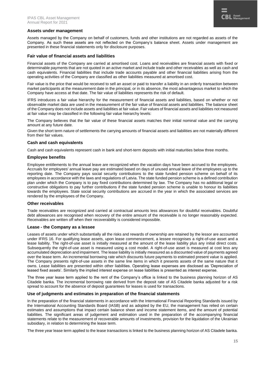

#### **Assets under management**

Assets managed by the Company on behalf of customers, funds and other institutions are not regarded as assets of the Company. As such these assets are not reflected on the Company's balance sheet. Assets under management are presented in these financial statements only for disclosure purposes.

#### **Fair value of financial assets and liabilities**

Financial assets of the Company are carried at amortised cost. Loans and receivables are financial assets with fixed or determinable payments that are not quoted in an active market and include trade and other receivables as well as cash and cash equivalents. Financial liabilities that include trade accounts payable and other financial liabilities arising from the operating activities of the Company are classified as other liabilities measured at amortised cost.

Fair value is the price that would be received to sell an asset or paid to transfer a liability in an orderly transaction between market participants at the measurement date in the principal, or in its absence, the most advantageous market to which the Company have access at that date. The fair value of liabilities represents the risk of default.

IFRS introduces a fair value hierarchy for the measurement of financial assets and liabilities, based on whether or not observable market data are used in the measurement of the fair value of financial assets and liabilities. The balance sheet of the Company does not include assets and liabilities at fair value. Fair values of financial assets and liabilities not measured at fair value may be classified in the following fair value hierarchy levels:

The Company believes that the fair value of these financial assets matches their initial nominal value and the carrying amount at any future date.

Given the short term nature of settlements the carrying amounts of financial assets and liabilities are not materially different from their fair values.

#### **Cash and cash equivalents**

Cash and cash equivalents represent cash in bank and short-term deposits with initial maturities below three months.

#### **Employee benefits**

Employee entitlements to the annual leave are recognized when the vacation days have been accrued to the employees. Accruals for employees' annual leave pay are estimated based on days of unused annual leave of the employees up to the reporting date. The Company pays social security contributions to the state funded pension scheme on behalf of its employees in accordance with the laws and regulations of Latvia. The state funded pension scheme is a defined contribution plan under which the Company is to pay fixed contributions determined by law. The Company has no additional legal or constructive obligations to pay further contributions if the state funded pension scheme is unable to honour its liabilities towards the employees. State social security contributions are accrued in the year in which the associated services are rendered by the employees of the Company.

#### **Other receivables**

Trade receivables are recognized and carried at contractual amounts less allowances for doubtful receivables. Doubtful debt allowances are recognised when recovery of the entire amount of the receivable is no longer reasonably expected. Receivables are written off when their recoverability is considered impossible.

#### **Lease - the Company as a lessee**

Leases of assets under which substantially all the risks and rewards of ownership are retained by the lessor are accounted under IFRS 16. For qualifying lease assets, upon lease commencement, a lessee recognises a right-of-use asset and a lease liability. The right-of-use asset is initially measured at the amount of the lease liability plus any initial direct costs. Subsequently the right-of-use asset is measured using a cost model. A right-of-use asset is measured at cost less any accumulated depreciation and impairment. The lease liability is initially measured as a discounted value of payments agreed over the lease term. An incremental borrowing rate which discounts future payments to estimated present value is applied. The Company presents right-of-use assets in the same line items in which it presents assets of the same nature that it owns. Lease liabilities are presented within other liabilities. Operating lease expenses are disclosed as 'Depreciation of leased fixed assets'. Similarly the implied interest expense on lease liabilities is presented as interest expense.

The three year lease term applied to the rent of the Company's office is linked to the business planning horizon of AS Citadele banka. The incremental borrowing rate derived from the deposit rate of AS Citadele banka adjusted for a risk spread to account for the absence of deposit guarantees for leases is used for transactions.

#### **Use of judgments and estimates in preparation of the financial statements**

In the preparation of the financial statements in accordance with the International Financial Reporting Standards issued by the International Accounting Standards Board (IASB) and as adopted by the EU, the management has relied on certain estimates and assumptions that impact certain balance sheet and income statement items, and the amount of potential liabilities. The significant areas of judgement and estimation used in the preparation of the accompanying financial statements relate to the measurement of recoverable amounts of investments, provision for the liquidation of the Ukrainian subsidiary, in relation to determining the lease term.

The three year lease term applied to the lease transactions is linked to the business planning horizon of AS Citadele banka.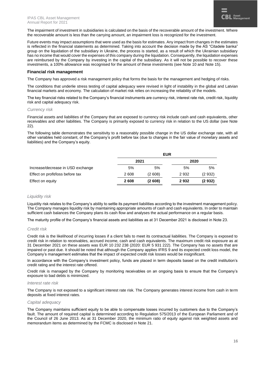The impairment of investment in subsidiaries is calculated on the basis of the recoverable amount of the investment. Where the recoverable amount is less than the carrying amount, an impairment loss is recognized for the investment.

Future events may impact assumptions that were used as the basis for estimates. Any impact from changes in the estimates is reflected in the financial statements as determined. Taking into account the decision made by the AS "Citadele banka" group on the liquidation of the subsidiary in Ukraine, the process is started, as a result of which the Ukrainian subsidiary has no income that would cover the expenses of this company during the liquidation. Consequently, the liquidation expenses are reimbursed by the Company by investing in the capital of the subsidiary. As it will not be possible to recover these investments, a 100% allowance was recognised for the amount of these investments (see Note 10 and Note 15).

#### **Financial risk management**

The Company has approved a risk management policy that forms the basis for the management and hedging of risks.

The conditions that underlie stress testing of capital adequacy were revised in light of instability in the global and Latvian financial markets and economy. The calculation of market risk relies on increasing the reliability of the models.

The key financial risks related to the Company's financial instruments are currency risk, interest rate risk, credit risk, liquidity risk and capital adequacy risk.

#### *Currency risk*

Financial assets and liabilities of the Company that are exposed to currency risk include cash and cash equivalents, other receivables and other liabilities. The Company is primarily exposed to currency risk in relation to the US dollar (see Note 22).

The following table demonstrates the sensitivity to a reasonably possible change in the US dollar exchange rate, with all other variables held constant, of the Company's profit before tax (due to changes in the fair value of monetary assets and liabilities) and the Company's equity.

|                                   |      | <b>EUR</b> |      |         |
|-----------------------------------|------|------------|------|---------|
|                                   | 2021 |            | 2020 |         |
| Increase/decrease in USD exchange | 5%   | 5%         | 5%   | 5%      |
| Effect on profit/loss before tax  | 2608 | (2608)     | 2932 | (2932)  |
| Effect on equity                  | 2608 | (2608)     | 2932 | (2 932) |

#### *Liquidity risk*

Liquidity risk relates to the Company's ability to settle its payment liabilities according to the investment management policy. The Company manages liquidity risk by maintaining appropriate amounts of cash and cash equivalents. In order to maintain sufficient cash balances the Company plans its cash flow and analyses the actual performance on a regular basis.

The maturity profile of the Company's financial assets and liabilities as at 31 December 2021 is disclosed in Note 23.

#### *Credit risk*

Credit risk is the likelihood of incurring losses if a client fails to meet its contractual liabilities. The Company is exposed to credit risk in relation to receivables, accrued income, cash and cash equivalents. The maximum credit risk exposure as at 31 December 2021 on these assets was EUR 10 232 238 (2020: EUR 5 931 222). The Company has no assets that are impaired or past due. It should be noted that although the Company applies IFRS 9 and its expected credit loss model, the Company's management estimates that the impact of expected credit risk losses would be insignificant.

In accordance with the Company's investment policy, funds are placed in term deposits based on the credit institution's credit rating and the interest rate offered.

Credit risk is managed by the Company by monitoring receivables on an ongoing basis to ensure that the Company's exposure to bad debts is minimized.

#### *Interest rate risk*

The Company is not exposed to a significant interest rate risk. The Company generates interest income from cash in term deposits at fixed interest rates.

#### *Capital adequacy*

The Company maintains sufficient equity to be able to compensate losses incurred by customers due to the Company's fault. The amount of required capital is determined according to Regulation 575/2013 of the European Parliament and of the Council of 26 June 2013. As at 31 December 2020, the minimum ratio of equity against risk weighted assets and memorandum items as determined by the FCMC is disclosed in Note 21.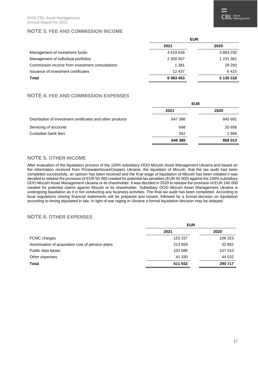#### **NOTE 3. FEE AND COMMISSION INCOME**

#### **NOTE 4. FEE AND COMMISSION EXPENSES**

|                                                            | EUR     |         |
|------------------------------------------------------------|---------|---------|
|                                                            | 2021    | 2020    |
| Distribution of investment certificates and other products | 647 398 | 845 691 |
| Servicing of accounts                                      | 648     | 20 656  |
| Custodian bank fees                                        | 342     | 1666    |
|                                                            | 648 388 | 868 013 |

**Total 6 983 453 5 130 318**

#### **NOTE 5. OTHER INCOME**

After evaluation of the liquidation process of the 100% subsidiary OOO Mizush Asset Management Ukraina and based on the information received from PricewaterhouseCoopers Ukraine, the liquidator of Mizush, that the tax audit had been completed successfully, an opinion has been received and the final stage of liquidation of Mizush has been initiated it was decided to release the provision of EUR 50 000 created for potential tax penalties (EUR 50 000) against the 100% subsidiary OOO Mizush Asset Management Ukraina or its shareholder. It was decided in 2020 to release the provision of EUR 240 000 created for potential claims against Mizush or its shareholder. Subsidiary OOO Mizush Asset Management Ukraina is undergoing liquidation as it is not conducting any business activities. The final tax audit has been completed. According to local regulations closing financial statements will be prepared and issued, followed by a formal decision on liquidation according to timing stipulated in law. In light of war raging in Ukraine a formal liquidation decision may be delayed.

#### **NOTE 6. OTHER EXPENSES**

|                                                   | <b>EUR</b> |         |
|---------------------------------------------------|------------|---------|
|                                                   | 2021       | 2020    |
| FCMC charges                                      | 153 157    | 106 323 |
| Amortisation of acquisition cost of pension plans | 213859     | 32 852  |
| Public data bases                                 | 103 586    | 107 010 |
| Other expenses                                    | 41 330     | 44 532  |
| <b>Total</b>                                      | 511 932    | 290 717 |
|                                                   |            |         |

 $\overline{\mathbf{C}}\mathbf{BL}$  Asset  $\overline{\mathbf{A}}$  Management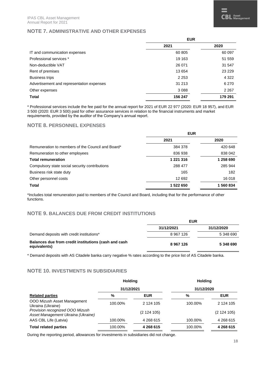#### **NOTE 7. ADMINISTRATIVE AND OTHER EXPENSES**

|                                           | <b>EUR</b> |         |
|-------------------------------------------|------------|---------|
|                                           | 2021       | 2020    |
| IT and communication expenses             | 60 805     | 60 097  |
| Professional services *                   | 19 163     | 51 559  |
| Non-deductible VAT                        | 26 071     | 31 547  |
| Rent of premises                          | 13 654     | 23 2 29 |
| <b>Business trips</b>                     | 2 2 5 3    | 4 3 2 2 |
| Advertisement and representation expenses | 31 213     | 6 2 7 0 |
| Other expenses                            | 3088       | 2 2 6 7 |
| <b>Total</b>                              | 156 247    | 179 291 |

\* Professional services include the fee paid for the annual report for 2021 of EUR 22 977 (2020: EUR 18 957), and EUR 3 500 (2020: EUR 3 500) paid for other assurance services in relation to the financial instruments and market requirements, provided by the auditor of the Company's annual report.

#### **NOTE 8. PERSONNEL EXPENSES**

|                                                   | <b>EUR</b> |           |
|---------------------------------------------------|------------|-----------|
|                                                   | 2021       | 2020      |
| Remuneration to members of the Council and Board* | 384 378    | 420 648   |
| Remuneration to other employees                   | 836 938    | 838 042   |
| <b>Total remuneration</b>                         | 1 221 316  | 1 258 690 |
| Compulsory state social security contributions    | 288 477    | 285 944   |
| Business risk state duty                          | 165        | 182       |
| Other personnel costs                             | 12 692     | 16 018    |
| <b>Total</b>                                      | 1 522 650  | 1560834   |

\*Includes total remuneration paid to members of the Council and Board, including that for the performance of other functions.

#### **NOTE 9. BALANCES DUE FROM CREDIT INSTITUTIONS**

|                                                                      | <b>EUR</b> |            |
|----------------------------------------------------------------------|------------|------------|
|                                                                      | 31/12/2021 | 31/12/2020 |
| Demand deposits with credit institutions*                            | 8 967 126  | 5 348 690  |
| Balances due from credit institutions (cash and cash<br>equivalents) | 8967126    | 5 348 690  |

\* Demand deposits with AS Citadele banka carry negative % rates according to the price list of AS Citadele banka.

#### **NOTE 10. INVESTMENTS IN SUBSIDIARIES**

|                                                                       | <b>Holding</b> |               | <b>Holding</b> |               |
|-----------------------------------------------------------------------|----------------|---------------|----------------|---------------|
|                                                                       | 31/12/2021     |               | 31/12/2020     |               |
| <b>Related parties</b>                                                | %              | <b>EUR</b>    | %              | <b>EUR</b>    |
| OOO Mizush Asset Management<br>Ukraina (Ukraine)                      | 100.00%        | 2 1 2 4 1 0 5 | 100.00%        | 2 1 2 4 1 0 5 |
| Provision recognized OOO Mizush<br>Asset Management Ukraina (Ukraine) |                | (2 124 105)   |                | (2124105)     |
| AAS CBL Life (Latvia)                                                 | 100.00%        | 4 268 615     | 100.00%        | 4 268 615     |
| <b>Total related parties</b>                                          | 100.00%        | 4 268 615     | 100.00%        | 4 268 615     |

During the reporting period, allowances for investments in subsidiaries did not change.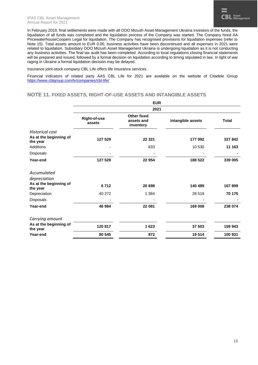In February 2019, final settlements were made with all OOO Mizush Asset Management Ukraina investors of the funds, the liquidation of all funds was completed and the liquidation process of the Company was started. The Company hired AA PricewaterhouseCoopers Legal for liquidation. The Company has recognised provisions for liquidation expenses (refer to Note 15). Total assets amount to EUR 0.00, business activities have been discontinued and all expenses in 2021 were related to liquidation. Subsidiary OOO Mizush Asset Management Ukraina is undergoing liquidation as it is not conducting any business activities. The final tax audit has been completed. According to local regulations closing financial statements will be prepared and issued, followed by a formal decision on liquidation according to timing stipulated in law. In light of war raging in Ukraine a formal liquidation decision may be delayed.

Insurance joint-stock company CBL Life offers life insurance services.

Financial indicators of related party AAS CBL Life for 2021 are available on the website of Citadele Group <https://www.cblgroup.com/lv/companies/cbl-life/>

#### **NOTE 11. FIXED ASSETS, RIGHT-OF-USE ASSETS AND INTANGIBLE ASSETS**

|                                                              | <b>EUR</b>                    |                                        |                   |              |
|--------------------------------------------------------------|-------------------------------|----------------------------------------|-------------------|--------------|
|                                                              |                               | 2021                                   |                   |              |
|                                                              | <b>Right-of-use</b><br>assets | Other fixed<br>assets and<br>inventory | Intangible assets | <b>Total</b> |
| <b>Historical cost</b><br>As at the beginning of<br>the year | 127 529                       | 22 3 21                                | 177 992           | 327842       |
| <b>Additions</b>                                             |                               | 633                                    | 10 530            | 11 163       |
| Disposals                                                    |                               |                                        |                   |              |
| Year-end                                                     | 127 529                       | 22 954                                 | 188 522           | 339 005      |
| Accumulated                                                  |                               |                                        |                   |              |
| depreciation<br>As at the beginning of<br>the year           | 6712                          | 20 698                                 | 140 489           | 167899       |
| Depreciation                                                 | 40 272                        | 1 3 8 4                                | 28 519            | 70 175       |
| Disposals                                                    |                               |                                        |                   |              |
| Year-end                                                     | 46 984                        | 22 081                                 | 169 008           | 238 074      |
| Carrying amount                                              |                               |                                        |                   |              |
| As at the beginning of<br>the year                           | 120 817                       | 1623                                   | 37 503            | 159 943      |
| Year-end                                                     | 80 545                        | 872                                    | 19514             | 100 931      |
|                                                              |                               |                                        |                   |              |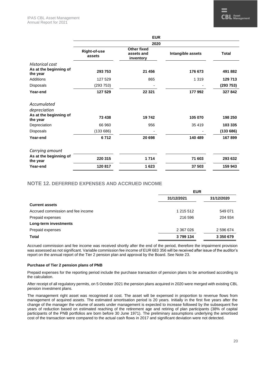|                                                              |                               | <b>EUR</b>                                    |                   |              |
|--------------------------------------------------------------|-------------------------------|-----------------------------------------------|-------------------|--------------|
|                                                              |                               | 2020                                          |                   |              |
|                                                              | <b>Right-of-use</b><br>assets | <b>Other fixed</b><br>assets and<br>inventory | Intangible assets | <b>Total</b> |
| <b>Historical cost</b><br>As at the beginning of<br>the year | 293 753                       | 21 456                                        | 176 673           | 491882       |
| Additions                                                    | 127 529                       | 865                                           | 1 3 1 9           | 129 713      |
| Disposals                                                    | (293 753)                     |                                               |                   | (293753)     |
| Year-end                                                     | 127 529                       | 22 3 21                                       | 177 992           | 327 842      |
| Accumulated                                                  |                               |                                               |                   |              |
| depreciation                                                 |                               |                                               |                   |              |
| As at the beginning of<br>the year                           | 73 438                        | 19742                                         | 105 070           | 198 250      |
| Depreciation                                                 | 66 960                        | 956                                           | 35 4 19           | 103 335      |
| Disposals                                                    | (133686)                      |                                               |                   | (133686)     |
| Year-end                                                     | 6712                          | 20 698                                        | 140 489           | 167899       |
| Carrying amount                                              |                               |                                               |                   |              |
| As at the beginning of<br>the year                           | 220 315                       | 1714                                          | 71 603            | 293 632      |
| Year-end                                                     | 120 817                       | 1623                                          | 37 503            | 159 943      |

#### **NOTE 12. DEFERRED EXPENSES AND ACCRUED INCOME**

|                                   | <b>EUR</b> |            |  |
|-----------------------------------|------------|------------|--|
|                                   | 31/12/2021 | 31/12/2020 |  |
| <b>Current assets</b>             |            |            |  |
| Accrued commission and fee income | 1 215 512  | 549 071    |  |
| Prepaid expenses                  | 216 596    | 204 934    |  |
| Long-term investments             |            |            |  |
| Prepaid expenses                  | 2 367 0 26 | 2 596 674  |  |
| <b>Total</b>                      | 3799134    | 3 350 679  |  |

Accrued commission and fee income was received shortly after the end of the period, therefore the impairment provision was assessed as not significant. Variable commission fee income of EUR 683 356 will be received after issue of the auditor's report on the annual report of the Tier 2 pension plan and approval by the Board. See Note 23.

#### **Purchase of Tier 2 pension plans of PNB**

Prepaid expenses for the reporting period include the purchase transaction of pension plans to be amortised according to the calculation.

After receipt of all regulatory permits, on 5 October 2021 the pension plans acquired in 2020 were merged with existing CBL pension investment plans.

The management right asset was recognised at cost. The asset will be expensed in proportion to revenue flows from management of acquired assets. The estimated amortisation period is 20 years. Initially in the first five years after the change of the manager the volume of assets under management is expected to increase followed by the subsequent five years of reduction based on estimated reaching of the retirement age and retiring of plan participants (38% of capital participants of the PNB portfolios are born before 30 June 1971). The preliminary assumptions underlying the amortised cost of the transaction were compared to the actual cash flows in 2017 and significant deviation were not detected.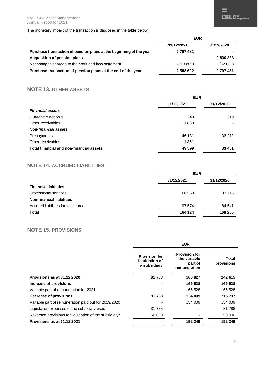The monetary impact of the transaction is disclosed in the table below:

|                                                                    | <b>EUR</b>     |            |
|--------------------------------------------------------------------|----------------|------------|
|                                                                    | 31/12/2021     | 31/12/2020 |
| Purchase transaction of pension plans at the beginning of the year | 2 797 481      |            |
| Acquisition of pension plans                                       | $\blacksquare$ | 2830333    |
| Net changes charged to the profit and loss statement               | (213 859)      | (32 852)   |
| Purchase transaction of pension plans at the end of the year       | 2 583 622      | 2 797 481  |

#### **NOTE 13. OTHER ASSETS**

|                                          | <b>EUR</b> |            |
|------------------------------------------|------------|------------|
|                                          | 31/12/2021 | 31/12/2020 |
| <b>Financial assets</b>                  |            |            |
| Guarantee deposits                       | 249        | 249        |
| Other receivables                        | 1868       |            |
| <b>Non-financial assets</b>              |            |            |
| Prepayments                              | 46 131     | 33 212     |
| Other receivables                        | 1 3 5 1    | -          |
| Total financial and non-financial assets | 49 599     | 33 461     |

#### **NOTE 14. ACCRUED LIABILITIES**

|                                   | <b>EUR</b>               |         |
|-----------------------------------|--------------------------|---------|
|                                   | 31/12/2021<br>31/12/2020 |         |
| <b>Financial liabilities</b>      |                          |         |
| Professional services             | 66 550                   | 83 715  |
| <b>Non-financial liabilities</b>  |                          |         |
| Accrued liabilities for vacations | 97 574                   | 84 541  |
| <b>Total</b>                      | 164 124                  | 168 256 |

#### **NOTE 15. PROVISIONS**

|                                                        | <b>EUR</b>                                             |                                                                 |                     |
|--------------------------------------------------------|--------------------------------------------------------|-----------------------------------------------------------------|---------------------|
|                                                        | <b>Provision for</b><br>liquidation of<br>a subsidiary | <b>Provision for</b><br>the variable<br>part of<br>remuneration | Total<br>provisions |
| Provisions as at 31.12.2020                            | 81788                                                  | 160 827                                                         | 242 615             |
| Increase of provisions                                 |                                                        | 165 528                                                         | 165 528             |
| Variable part of remuneration for 2021                 |                                                        | 165 528                                                         | 165 528             |
| Decrease of provisions                                 | 81 788                                                 | 134 009                                                         | 215 797             |
| Variable part of remuneration paid out for 2019/2020   |                                                        | 134 009                                                         | 134 009             |
| Liquidation expenses of the subsidiary used            | 31 788                                                 |                                                                 | 31 788              |
| Reversed provisions for liquidation of the subsidiary* | 50 000                                                 |                                                                 | 50 000              |
| Provisions as at 31.12.2021                            |                                                        | 192 346                                                         | 192 346             |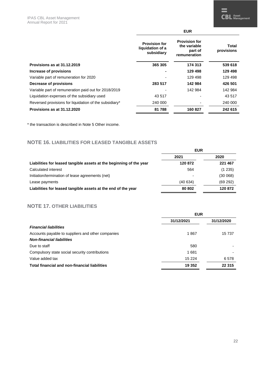|                                                        | <b>EUR</b>                                             |                                                                 |                     |
|--------------------------------------------------------|--------------------------------------------------------|-----------------------------------------------------------------|---------------------|
|                                                        | <b>Provision for</b><br>liquidation of a<br>subsidiary | <b>Provision for</b><br>the variable<br>part of<br>remuneration | Total<br>provisions |
| Provisions as at 31.12.2019                            | 365 305                                                | 174 313                                                         | 539 618             |
| Increase of provisions                                 |                                                        | 129 498                                                         | 129 498             |
| Variable part of remuneration for 2020                 |                                                        | 129 498                                                         | 129 498             |
| Decrease of provisions                                 | 283 517                                                | 142 984                                                         | 426 501             |
| Variable part of remuneration paid out for 2018/2019   |                                                        | 142 984                                                         | 142 984             |
| Liquidation expenses of the subsidiary used            | 43 517                                                 |                                                                 | 43 517              |
| Reversed provisions for liquidation of the subsidiary* | 240 000                                                |                                                                 | 240 000             |
| Provisions as at 31.12.2020                            | 81 788                                                 | 160827                                                          | 242 615             |

\* the transaction is described in Note 5 Other income.

#### **NOTE 16. LIABILITIES FOR LEASED TANGIBLE ASSETS**

|                                                                     | <b>EUR</b> |          |
|---------------------------------------------------------------------|------------|----------|
|                                                                     | 2021       | 2020     |
| Liabilities for leased tangible assets at the beginning of the year | 120 872    | 221 467  |
| Calculated interest                                                 | 564        | (1235)   |
| Initiation/termination of lease agreements (net)                    |            | (30068)  |
| Lease payments                                                      | (40 634)   | (69 292) |
| Liabilities for leased tangible assets at the end of the year       | 80 802     | 120872   |

#### **NOTE 17. OTHER LIABILITIES**

|                                                   | <b>EUR</b> |            |
|---------------------------------------------------|------------|------------|
|                                                   | 31/12/2021 | 31/12/2020 |
| <b>Financial liabilities</b>                      |            |            |
| Accounts payable to suppliers and other companies | 1867       | 15 737     |
| <b>Non-financial liabilities</b>                  |            |            |
| Due to staff                                      | 580        |            |
| Compulsory state social security contributions    | 1681       |            |
| Value added tax                                   | 15 2 24    | 6578       |
| Total financial and non-financial liabilities     | 19 352     | 22 3 15    |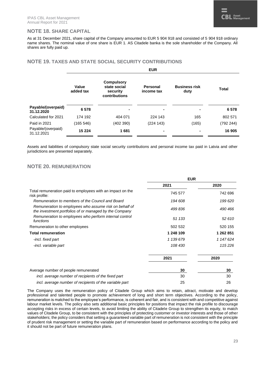#### **NOTE 18. SHARE CAPITAL**

As at 31 December 2021, share capital of the Company amounted to EUR 5 904 918 and consisted of 5 904 918 ordinary name shares. The nominal value of one share is EUR 1. AS Citadele banka is the sole shareholder of the Company. All shares are fully paid up.

#### **NOTE 19. TAXES AND STATE SOCIAL SECURITY CONTRIBUTIONS**

|                                  | <b>EUR</b>         |                                                                |                        |                              |           |  |
|----------------------------------|--------------------|----------------------------------------------------------------|------------------------|------------------------------|-----------|--|
|                                  | Value<br>added tax | <b>Compulsory</b><br>state social<br>security<br>contributions | Personal<br>income tax | <b>Business risk</b><br>duty | Total     |  |
| Payable/(overpaid)<br>31.12.2020 | 6578               |                                                                |                        |                              | 6578      |  |
| Calculated for 2021              | 174 192            | 404 071                                                        | 224 143                | 165                          | 802 571   |  |
| Paid in 2021                     | (165 546)          | (402 390)                                                      | (224 143)              | (165)                        | (792 244) |  |
| Payable/(overpaid)<br>31.12.2021 | 15 2 24            | 1681                                                           |                        |                              | 16 905    |  |

Assets and liabilities of compulsory state social security contributions and personal income tax paid in Latvia and other jurisdictions are presented separately.

#### **NOTE 20. REMUNERATION**

|                                                                                                                  | <b>EUR</b> |           |
|------------------------------------------------------------------------------------------------------------------|------------|-----------|
|                                                                                                                  | 2021       | 2020      |
| Total remuneration paid to employees with an impact on the<br>risk profile:                                      | 745 577    | 742 696   |
| Remuneration to members of the Council and Board                                                                 | 194 608    | 199 620   |
| Remuneration to employees who assume risk on behalf of<br>the investment portfolios of or managed by the Company | 499 836    | 490 466   |
| Remuneration to employees who perform internal control<br>functions                                              | 51 133     | 52 610    |
| Remuneration to other employees                                                                                  | 502 532    | 520 155   |
| <b>Total remuneration</b>                                                                                        | 1 248 109  | 1 262 851 |
| -incl. fixed part                                                                                                | 1 139 679  | 1 147 624 |
| -incl. variable part                                                                                             | 108 430    | 115226    |
|                                                                                                                  | 2021       | 2020      |
| Average number of people remunerated                                                                             | 30         | 30        |
| incl. average number of recipients of the fixed part                                                             | 30         | 30        |
| incl. average number of recipients of the variable part                                                          | 25         | 26        |

The Company uses the remuneration policy of Citadele Group which aims to retain, attract, motivate and develop professional and talented people to promote achievement of long and short term objectives. According to the policy, remuneration is matched to the employee's performance, is coherent and fair, and is consistent with and competitive against labour market levels. The policy also sets additional basic principles for positions that impact the risk profile to discourage accepting risks in excess of certain levels, to avoid limiting the ability of Citadele Group to strengthen its equity, to match values of Citadele Group, to be consistent with the principles of protecting customer or investor interests and those of other stakeholders; the policy considers that setting a guaranteed variable part of remuneration is not consistent with the principle of prudent risk management or setting the variable part of remuneration based on performance according to the policy and it should not be part of future remuneration plans.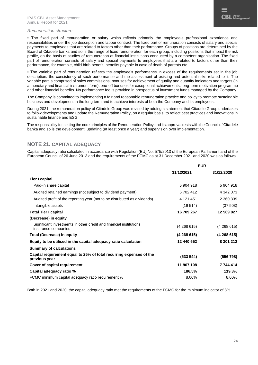#### *Remuneration structure:*

▪ The fixed part of remuneration or salary which reflects primarily the employee's professional experience and responsibilities under the job description and labour contract. The fixed part of remuneration consists of salary and special payments to employees that are related to factors other than their performance. Groups of positions are determined by the Board of Citadele banka and so is the range of fixed remuneration for each group, including positions that impact the risk profile, on the basis of studies of remuneration at financial institutions conducted by a competent organisation. The fixed part of remuneration consists of salary and special payments to employees that are related to factors other than their performance, for example, child birth benefit, benefits payable in case of death of parents etc.

▪ The variable part of remuneration reflects the employee's performance in excess of the requirements set in the job description, the consistency of such performance and the assessment of existing and potential risks related to it. The variable part is comprised of sales commissions, bonuses for achievement of quality and quantity indicators and targets (in a monetary and financial instrument form), one-off bonuses for exceptional achievements, long-term motivation programme and other financial benefits. No performance fee is provided in prospectus of investment funds managed by the Company.

The Company is committed to implementing a fair and reasonable remuneration practice and policy to promote sustainable business and development in the long term and to achieve interests of both the Company and its employees.

During 2021, the remuneration policy of Citadele Group was revised by adding a statement that Citadele Group undertakes to follow developments and update the Remuneration Policy, on a regular basis, to reflect best practices and innovations in sustainable finance and ESG.

The responsibility for setting the core principles of the Remuneration Policy and its approval rests with the Council of Citadele banka and so is the development, updating (at least once a year) and supervision over implementation.

#### **NOTE 21. CAPITAL ADEQUACY**

Capital adequacy ratio calculated in accordance with Regulation (EU) No. 575/2013 of the European Parliament and of the European Council of 26 June 2013 and the requirements of the FCMC as at 31 December 2021 and 2020 was as follows:

|                                                                                            | <b>EUR</b>  |             |  |
|--------------------------------------------------------------------------------------------|-------------|-------------|--|
|                                                                                            | 31/12/2021  | 31/12/2020  |  |
| Tier I capital                                                                             |             |             |  |
| Paid-in share capital                                                                      | 5904918     | 5 904 918   |  |
| Audited retained earnings (not subject to dividend payment)                                | 6702412     | 4 342 073   |  |
| Audited profit of the reporting year (not to be distributed as dividends)                  | 4 121 451   | 2 360 339   |  |
| Intangible assets                                                                          | (19514)     | (37 503)    |  |
| <b>Total Tier I capital</b>                                                                | 16 709 267  | 12 569 827  |  |
| (Decrease) in equity                                                                       |             |             |  |
| Significant investments in other credit and financial institutions,<br>insurance companies | (4 268 615) | (4 268 615) |  |
| <b>Total (Decrease) in equity</b>                                                          | (4268615)   | (4268615)   |  |
| Equity to be utilised in the capital adequacy ratio calculation                            | 12 440 652  | 8 301 212   |  |
| <b>Summary of calculations</b>                                                             |             |             |  |
| Capital requirement equal to 25% of total recurring expenses of the<br>previous year       | (533 544)   | (556 798)   |  |
| Cover of capital requirement                                                               | 11 907 108  | 7 744 414   |  |
| Capital adequacy ratio %                                                                   | 186.5%      | 119.3%      |  |
| FCMC minimum capital adequacy ratio requirement %                                          | 8.00%       | 8.00%       |  |

Both in 2021 and 2020, the capital adequacy ratio met the requirements of the FCMC for the minimum indicator of 8%.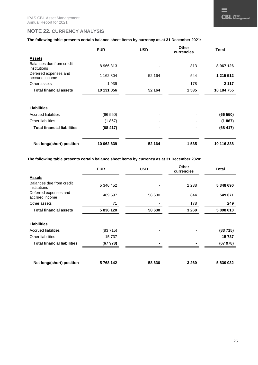#### **NOTE 22. CURRENCY ANALYSIS**

#### **The following table presents certain balance sheet items by currency as at 31 December 2021:**

|                                          | <b>EUR</b> | <b>USD</b> | Other<br>currencies | <b>Total</b>  |
|------------------------------------------|------------|------------|---------------------|---------------|
| <b>Assets</b>                            |            |            |                     |               |
| Balances due from credit<br>institutions | 8 966 313  |            | 813                 | 8 9 6 7 1 2 6 |
| Deferred expenses and<br>accrued income  | 1 162 804  | 52 164     | 544                 | 1 215 512     |
| Other assets                             | 1939       |            | 178                 | 2 1 1 7       |
| <b>Total financial assets</b>            | 10 131 056 | 52 164     | 1535                | 10 184 755    |
| <b>Liabilities</b>                       |            |            |                     |               |
| <b>Accrued liabilities</b>               | (66 550)   |            |                     | (66 550)      |
| <b>Other liabilities</b>                 | (1867)     |            |                     | (1867)        |
| <b>Total financial liabilities</b>       | (68417)    |            |                     | (68417)       |
| Net long/(short) position                | 10 062 639 | 52 164     | 1 5 3 5             | 10 116 338    |

**The following table presents certain balance sheet items by currency as at 31 December 2020:** 

|                                          | <b>EUR</b> | <b>USD</b> | <b>Other</b><br>currencies | <b>Total</b> |
|------------------------------------------|------------|------------|----------------------------|--------------|
| <b>Assets</b>                            |            |            |                            |              |
| Balances due from credit<br>institutions | 5 346 452  |            | 2 2 3 8                    | 5 348 690    |
| Deferred expenses and<br>accrued income  | 489 597    | 58 630     | 844                        | 549 071      |
| Other assets                             | 71         |            | 178                        | 249          |
| <b>Total financial assets</b>            | 5836120    | 58 630     | 3 2 6 0                    | 5898010      |
|                                          |            |            |                            |              |
| <b>Liabilities</b>                       |            |            |                            |              |
| <b>Accrued liabilities</b>               | (83715)    |            |                            | (83715)      |
| <b>Other liabilities</b>                 | 15 737     |            |                            | 15737        |
| <b>Total financial liabilities</b>       | (67978)    |            |                            | (67978)      |
|                                          |            |            |                            |              |
| Net long/(short) position                | 5768142    | 58 630     | 3 2 6 0                    | 5830032      |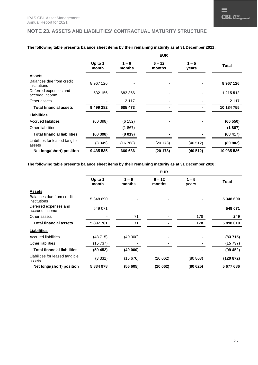#### **NOTE 23. ASSETS AND LIABILITIES' CONTRACTUAL MATURITY STRUCTURE**

|                                           | <b>EUR</b>       |                   |                    |                  |              |  |
|-------------------------------------------|------------------|-------------------|--------------------|------------------|--------------|--|
|                                           | Up to 1<br>month | $1 - 6$<br>months | $6 - 12$<br>months | $1 - 5$<br>years | <b>Total</b> |  |
| <b>Assets</b>                             |                  |                   |                    |                  |              |  |
| Balances due from credit<br>institutions  | 8 9 67 1 26      |                   |                    |                  | 8 967 126    |  |
| Deferred expenses and<br>accrued income   | 532 156          | 683 356           |                    |                  | 1 215 512    |  |
| Other assets                              |                  | 2 1 1 7           |                    |                  | 2 1 1 7      |  |
| <b>Total financial assets</b>             | 9 499 282        | 685 473           |                    |                  | 10 184 755   |  |
| <b>Liabilities</b>                        |                  |                   |                    |                  |              |  |
| Accrued liabilities                       | (60398)          | (6 152)           |                    |                  | (66 550)     |  |
| Other liabilities                         |                  | (1867)            |                    |                  | (1867)       |  |
| <b>Total financial liabilities</b>        | (60398)          | (8019)            |                    |                  | (68417)      |  |
| Liabilities for leased tangible<br>assets | (3349)           | (16768)           | (20 173)           | (40 512)         | (80 802)     |  |
| Net long/(short) position                 | 9 435 535        | 660 686           | (20 173)           | (40 512)         | 10 035 536   |  |

#### **The following table presents balance sheet items by their remaining maturity as at 31 December 2021:**

**The following table presents balance sheet items by their remaining maturity as at 31 December 2020:** 

|                                           | <b>EUR</b>       |                   |                    |                  |           |  |
|-------------------------------------------|------------------|-------------------|--------------------|------------------|-----------|--|
|                                           | Up to 1<br>month | $1 - 6$<br>months | $6 - 12$<br>months | $1 - 5$<br>years | Total     |  |
| <b>Assets</b>                             |                  |                   |                    |                  |           |  |
| Balances due from credit<br>institutions  | 5 348 690        |                   |                    |                  | 5 348 690 |  |
| Deferred expenses and<br>accrued income   | 549 071          |                   |                    |                  | 549 071   |  |
| Other assets                              |                  | 71                |                    | 178              | 249       |  |
| <b>Total financial assets</b>             | 5 897 761        | 71                |                    | 178              | 5898010   |  |
| <b>Liabilities</b>                        |                  |                   |                    |                  |           |  |
| <b>Accrued liabilities</b>                | (43 715)         | (40 000)          |                    |                  | (83715)   |  |
| Other liabilities                         | (15 737)         |                   |                    |                  | (15737)   |  |
| <b>Total financial liabilities</b>        | (59 452)         | (40000)           |                    |                  | (99 452)  |  |
| Liabilities for leased tangible<br>assets | (3331)           | (16676)           | (20 062)           | (80 803)         | (120 872) |  |
| Net long/(short) position                 | 5834978          | (56605)           | (20062)            | (80625)          | 5 677 686 |  |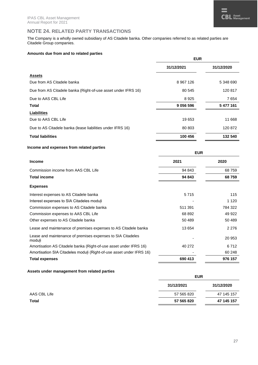#### **NOTE 24. RELATED PARTY TRANSACTIONS**

The Company is a wholly owned subsidiary of AS Citadele banka. Other companies referred to as related parties are Citadele Group companies.

#### **Amounts due from and to related parties**

| 31/12/2021<br>31/12/2020<br><b>Assets</b><br>Due from AS Citadele banka<br>8967126<br>5 348 690<br>80 545<br>120 817<br>Due from AS Citadele banka (Right-of-use asset under IFRS 16)<br>Due to AAS CBL Life<br>8925<br>7654<br>9 056 596<br><b>Total</b><br>5 477 161<br><b>Liabilities</b><br>Due to AAS CBL Life<br>19653<br>11 668<br>Due to AS Citadele banka (lease liabilities under IFRS 16)<br>80 803<br>120 872<br><b>Total liabilities</b><br>100 456<br>132 540 | <b>EUR</b> |  |  |
|-----------------------------------------------------------------------------------------------------------------------------------------------------------------------------------------------------------------------------------------------------------------------------------------------------------------------------------------------------------------------------------------------------------------------------------------------------------------------------|------------|--|--|
|                                                                                                                                                                                                                                                                                                                                                                                                                                                                             |            |  |  |
|                                                                                                                                                                                                                                                                                                                                                                                                                                                                             |            |  |  |
|                                                                                                                                                                                                                                                                                                                                                                                                                                                                             |            |  |  |
|                                                                                                                                                                                                                                                                                                                                                                                                                                                                             |            |  |  |
|                                                                                                                                                                                                                                                                                                                                                                                                                                                                             |            |  |  |
|                                                                                                                                                                                                                                                                                                                                                                                                                                                                             |            |  |  |
|                                                                                                                                                                                                                                                                                                                                                                                                                                                                             |            |  |  |
|                                                                                                                                                                                                                                                                                                                                                                                                                                                                             |            |  |  |
|                                                                                                                                                                                                                                                                                                                                                                                                                                                                             |            |  |  |
|                                                                                                                                                                                                                                                                                                                                                                                                                                                                             |            |  |  |

#### **Income and expenses from related parties**

|                                                                       | <b>EUR</b> |         |  |
|-----------------------------------------------------------------------|------------|---------|--|
| <b>Income</b>                                                         | 2021       | 2020    |  |
| Commission income from AAS CBL Life                                   | 94 843     | 68759   |  |
| <b>Total income</b>                                                   | 94 843     | 68759   |  |
| <b>Expenses</b>                                                       |            |         |  |
| Interest expenses to AS Citadele banka                                | 5715       | 115     |  |
| Interest expenses to SIA Citadeles moduli                             |            | 1 1 2 0 |  |
| Commission expenses to AS Citadele banka                              | 511 391    | 784 322 |  |
| Commission expenses to AAS CBL Life                                   | 68 892     | 49 922  |  |
| Other expenses to AS Citadele banka                                   | 50 489     | 50 489  |  |
| Lease and maintenance of premises expenses to AS Citadele banka       | 13 654     | 2 2 7 6 |  |
| Lease and maintenance of premises expenses to SIA Citadeles<br>moduli |            | 20 953  |  |
| Amortisation AS Citadele banka (Right-of-use asset under IFRS 16)     | 40 272     | 6712    |  |
| Amortisation SIA Citadeles moduli (Right-of-use asset under IFRS 16)  |            | 60 248  |  |
| <b>Total expenses</b>                                                 | 690 413    | 976 157 |  |

#### **Assets under management from related parties**

|              | <b>EUR</b> |            |  |  |
|--------------|------------|------------|--|--|
|              | 31/12/2021 | 31/12/2020 |  |  |
| AAS CBL Life | 57 565 820 | 47 145 157 |  |  |
| <b>Total</b> | 57 565 820 | 47 145 157 |  |  |
|              |            |            |  |  |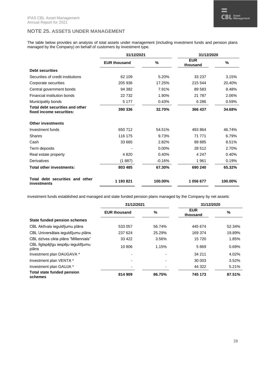#### **NOTE 25. ASSETS UNDER MANAGEMENT**

The table below provides an analysis of total assets under management (including investment funds and pension plans managed by the Company) on behalf of customers by investment type.

|                                                             | 31/12/2021          |          | 31/12/2020             |         |
|-------------------------------------------------------------|---------------------|----------|------------------------|---------|
|                                                             | <b>EUR thousand</b> | %        | <b>EUR</b><br>thousand | %       |
| <b>Debt securities</b>                                      |                     |          |                        |         |
| Securities of credit institutions                           | 62 109              | 5.20%    | 33 237                 | 3.15%   |
| Corporate securities                                        | 205 936             | 17.25%   | 215 544                | 20.40%  |
| Central government bonds                                    | 94 382              | 7.91%    | 89 583                 | 8.48%   |
| Financial institution bonds                                 | 22732               | 1.90%    | 21 7 8 7               | 2.06%   |
| Municipality bonds                                          | 5 1 7 7             | 0.43%    | 6 2 8 6                | 0.59%   |
| Total debt securities and other<br>fixed income securities: | 390 336             | 32.70%   | 366 437                | 34.68%  |
| <b>Other investments</b>                                    |                     |          |                        |         |
| Investment funds                                            | 650 712             | 54.51%   | 493 864                | 46.74%  |
| <b>Shares</b>                                               | 116 175             | 9.73%    | 71 771                 | 6.79%   |
| Cash                                                        | 33 665              | 2.82%    | 89 885                 | 8.51%   |
| Term deposits                                               |                     | 0.00%    | 28 512                 | 2.70%   |
| Real estate property                                        | 4820                | 0.40%    | 4 2 4 7                | 0.40%   |
| Derivatives                                                 | (1887)              | $-0.16%$ | 1961                   | 0.19%   |
| Total other investments:                                    | 803 485             | 67.30%   | 690 240                | 65.32%  |
| Total debt securities and other<br>investments              | 1 193 821           | 100.00%  | 1056677                | 100.00% |

Investment funds established and managed and state funded pension plans managed by the Company by net assets:

|                                              | 31/12/2021          |        | 31/12/2020             |        |
|----------------------------------------------|---------------------|--------|------------------------|--------|
|                                              | <b>EUR thousand</b> | %      | <b>EUR</b><br>thousand | %      |
| <b>State funded pension schemes</b>          |                     |        |                        |        |
| CBL Aktīvais ieguldījumu plāns               | 533 057             | 56.74% | 445 674                | 52.34% |
| CBL Universālais ieguldījumu plāns           | 237 624             | 25.29% | 169 374                | 19.89% |
| CBL dzīves cikla plāns "Millennials"         | 33 4 22             | 3.56%  | 15 720                 | 1.85%  |
| CBL Ilgtspējīgu iespēju ieguldījumu<br>plāns | 10 806              | 1.15%  | 5869                   | 0.69%  |
| Investment plan DAUGAVA *                    |                     |        | 34 211                 | 4.02%  |
| Investment plan VENTA *                      |                     |        | 30 003                 | 3.52%  |
| Investment plan GAUJA *                      |                     |        | 44 322                 | 5.21%  |
| <b>Total state funded pension</b><br>schemes | 814 909             | 86.75% | 745 173                | 87.51% |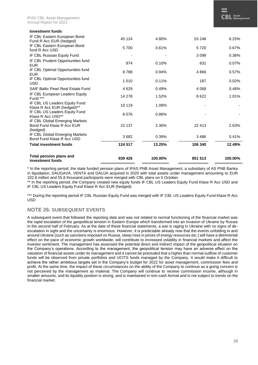| IF CBL Eastern European Bond                                            | 5700    | 0.61%   | 5720    | 0.67%   |
|-------------------------------------------------------------------------|---------|---------|---------|---------|
| fund R Acc USD                                                          |         |         |         |         |
| IF CBL Russian Equity Fund                                              |         |         | 3 0 9 9 | 0.36%   |
| IF CBL Prudent Opportunities fund<br><b>EUR</b>                         | 974     | 0.10%   | 631     | 0.07%   |
| IF CBL Optimal Opportunities fund<br><b>EUR</b>                         | 8788    | 0.94%   | 4866    | 0.57%   |
| IF CBL Optimal Opportunities fund<br><b>USD</b>                         | 1 0 1 0 | 0.11%   | 187     | 0.02%   |
| SAIF Baltic Pearl Real Estate Fund                                      | 4629    | 0.49%   | 4 0 6 8 | 0.48%   |
| IF CBL European Leaders Equity<br>Fund ***                              | 14 278  | 1.52%   | 8622    | 1.01%   |
| IF CBL US Leaders Equity Fund<br>Klase R Acc EUR (hedged)**             | 10 119  | 1.08%   |         |         |
| IF CBL US Leaders Equity Fund<br>Klase R Acc USD**                      | 8076    | 0.86%   |         |         |
| IF CBL Global Emerging Markets<br>Bond Fund Klase R Acc EUR<br>(hedged) | 22 137  | 2.36%   | 22 413  | 2.63%   |
| IF CBL Global Emerging Markets<br>Bond Fund Klase R Acc USD             | 3682    | 0.39%   | 3486    | 0.41%   |
| <b>Total investment funds</b>                                           | 124 517 | 13.25%  | 106 340 | 12.49%  |
| <b>Total pension plans and</b><br>investment funds                      | 939 426 | 100.00% | 851 513 | 100.00% |

\* In the reporting period, the state funded pension plans of IPAS PNB Asset Management, a subsidiary of AS PNB Banka in liquidation, DAUGAVA, VENTA and GAUJA acquired in 2020 with total assets under management amounting to EUR 102.8 million and 55.8 thousand participants were merged with CBL plans on 5 October.

\*\* In the reporting period, the Company created new equity funds IF CBL US Leaders Equity Fund Klase R Acc USD and IF CBL US Leaders Equity Fund Klase R Acc EUR (hedged).

\*\*\* During the reporting period IF CBL Russian Equity Fund was merged with IF CBL US Leaders Equity Fund Klase R Acc USD

#### **NOTE 26. SUBSEQUENT EVENTS**

A subsequent event that followed the reporting date and was not related to normal functioning of the financial market was the rapid escalation of the geopolitical tension in Eastern Europe which transformed into an invasion of Ukraine by Russia in the second half of February. As at the date of these financial statements, a war is raging in Ukraine with no signs of deescalation in sight and the uncertainty is enormous. However, it is predictable already now that the events unfolding in and around Ukraine (such as sanctions imposed on Russia, steep rises in prices of energy resources etc.) will have a detrimental effect on the pace of economic growth worldwide, will contribute to increased volatility in financial markets and affect the investor sentiment. The management has assessed the potential direct and indirect impact of the geopolitical situation on the Company's operations. According to the management, the geopolitical tension may have an adverse effect on the valuation of financial assets under its management and it cannot be precluded that a higher than normal outflow of customer funds will be observed from private portfolios and UCITS funds managed by the Company. It would make it difficult to achieve the rather ambitious targets set in the Company's budget for 2022 for asset management, commission fees and profit. At the same time, the impact of these circumstances on the ability of the Company to continue as a going concern is not perceived by the management as material. The Company will continue to receive commission income, although in smaller amounts, and its liquidity position is strong, and is maintained in non-cash format and is not subject to trends on the financial market.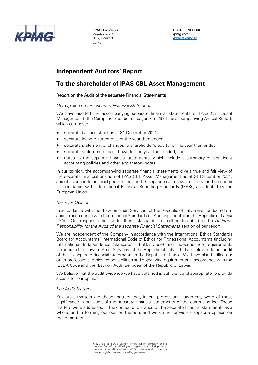

KPMG Baltics SIA Vesetas iela 7 Riga, LV-1013 Latvia

T: + 371 67038000 kpmg.com/lv [kpmg@kpmg.lv](mailto:kpmg@kpmg.lv)

### **Independent Auditors' Report**

#### **To the shareholder of IPAS CBL Asset Management**

#### Report on the Audit of the separate Financial Statements

#### *Our Opinion on the separate Financial Statements*

We have audited the accompanying separate financial statements of IPAS CBL Asset Management ("the Company") set out on pages 8 to 29 of the accompanying Annual Report, which comprise:

- separate balance sheet as at 31 December 2021,
- separate income statement for the year then ended,
- separate statement of changes to shareholder's equity for the year then ended,
- separate statement of cash flows for the year then ended, and
- notes to the separate financial statements, which include a summary of significant accounting policies and other explanatory notes.

In our opinion, the accompanying separate financial statements give a true and fair view of the separate financial position of IPAS CBL Asset Management as at 31 December 2021, and of its separate financial performance and its separate cash flows for the year then ended in accordance with International Financial Reporting Standards (IFRSs) as adopted by the European Union.

#### *Basis for Opinion*

In accordance with the 'Law on Audit Services' of the Republic of Latvia we conducted our audit in accordance with International Standards on Auditing adopted in the Republic of Latvia (ISAs). Our responsibilities under those standards are further described in the *Auditors' Responsibility for the Audit of the separate Financial Statements* section of our report.

We are independent of the Company in accordance with the International Ethics Standards Board for Accountants' International Code of Ethics for Professional Accountants (including International Independence Standards) (IESBA Code) and independence requirements included in the 'Law on Audit Services' of the Republic of Latvia that are relevant to our audit of the fin separate financial statements in the Republic of Latvia. We have also fulfilled our other professional ethics responsibilities and objectivity requirements in accordance with the IESBA Code and the 'Law on Audit Services' of the Republic of Latvia.

We believe that the audit evidence we have obtained is sufficient and appropriate to provide a basis for our opinion.

#### *Key Audit Matters*

Key audit matters are those matters that, in our professional judgment, were of most significance in our audit of the separate financial statements of the current period. These matters were addressed in the context of our audit of the separate financial statements as a whole, and in forming our opinion thereon, and we do not provide a separate opinion on these matters.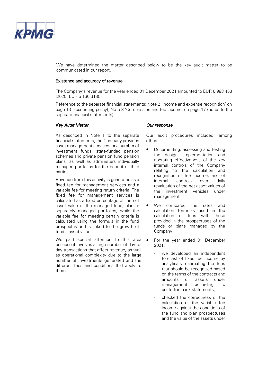

We have determined the matter described below to be the key audit matter to be communicated in our report.

#### Existence and accuracy of revenue

The Company's revenue for the year ended 31 December 2021 amounted to EUR 6 983 453 (2020: EUR 5 130 318).

Reference to the separate financial statements: Note 2 'Income and expense recognition' on page 13 (accounting policy); Note 3 'Commission and fee income' on page 17 (notes to the separate financial statements).

#### *Key Audit Matter CHECKER Audit Matter CULTER AUDIT COUR RESPONSE*

As described in Note 1 to the separate financial statements, the Company provides asset management services for a number of investment funds, state-funded pension schemes and private pension fund pension plans, as well as administers individually managed portfolios for the benefit of third parties.

Revenue from this activity is generated as a fixed fee for management services and a variable fee for meeting return criteria. The fixed fee for management services is calculated as a fixed percentage of the net asset value of the managed fund, plan or separately managed portfolios, while the variable fee for meeting certain criteria is calculated using the formula in the fund prospectus and is linked to the growth of fund's asset value.

We paid special attention to this area because it involves a large number of day-today transactions that affect revenue, as well as operational complexity due to the large number of investments generated and the different fees and conditions that apply to them.

Our audit procedures included, among others:

- Documenting, assessing and testing the design, implementation and operating effectiveness of the key internal controls of the Company relating to the calculation and recognition of fee income, and of internal controls over daily revaluation of the net asset values of the investment vehicles under management.
- We compared the rates and calculation formulas used in the calculation of fees with those provided in the prospectuses of the funds or plans managed by the Company.
- For the year ended 31 December  $2021$ 
	- we developed an independent forecast of fixed fee income by analytically estimating the fees that should be recognized based on the terms of the contracts and amounts of assets under management according to custodian bank statements;
	- checked the correctness of the calculation of the variable fee income against the conditions of the fund and plan prospectuses and the value of the assets under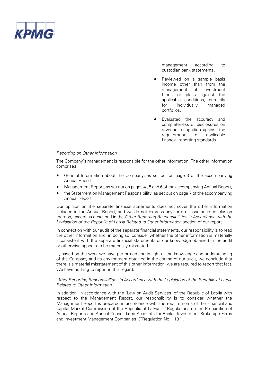

management according to custodian bank statements.

- Reviewed on a sample basis income other than from the management of investment funds or plans against the applicable conditions, primarily<br>for individually managed individually managed portfolios.
- Evaluated the accuracy and completeness of disclosures on revenue recognition against the<br>requirements of applicable requirements financial reporting standards.

#### *Reporting on Other Information*

The Company's management is responsible for the other information. The other information comprises:

- General Information about the Company, as set out on page 3 of the accompanying Annual Report,
- Management Report, as set out on pages 4 , 5 and 6 of the accompanying Annual Report,
- the Statement on Management Responsibility, as set out on page 7 of the accompanying Annual Report.

Our opinion on the separate financial statements does not cover the other information included in the Annual Report, and we do not express any form of assurance conclusion thereon, except as described in the *Other Reporting Responsibilities in Accordance with the Legislation of the Republic of Latvia Related to Other Information* section of our report.

In connection with our audit of the separate financial statements, our responsibility is to read the other information and, in doing so, consider whether the other information is materially inconsistent with the separate financial statements or our knowledge obtained in the audit or otherwise appears to be materially misstated.

If, based on the work we have performed and in light of the knowledge and understanding of the Company and its environment obtained in the course of our audit, we conclude that there is a material misstatement of this other information, we are required to report that fact. We have nothing to report in this regard.

#### *Other Reporting Responsibilities in Accordance with the Legislation of the Republic of Latvia Related to Other Information*

In addition, in accordance with the 'Law on Audit Services' of the Republic of Latvia with respect to the Management Report, our responsibility is to consider whether the Management Report is prepared in accordance with the requirements of the Financial and Capital Market Commission of the Republic of Latvia – "Regulations on the Preparation of Annual Reports and Annual Consolidated Accounts for Banks, Investment Brokerage Firms and Investment Management Companies' ("Regulation No. 113").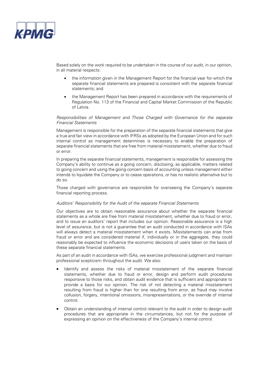

Based solely on the work required to be undertaken in the course of our audit, in our opinion, in all material respects:

- the information given in the Management Report for the financial year for which the separate financial statements are prepared is consistent with the separate financial statements; and
- the Management Report has been prepared in accordance with the requirements of Regulation No. 113 of the Financial and Capital Market Commission of the Republic of Latvia.

*Responsibilities of Management and Those Charged with Governance for the separate Financial Statements*

Management is responsible for the preparation of the separate financial statements that give a true and fair view in accordance with IFRSs as adopted by the European Union and for such internal control as management determines is necessary to enable the preparation of separate financial statements that are free from material misstatement, whether due to fraud or error.

In preparing the separate financial statements, management is responsible for assessing the Company's ability to continue as a going concern, disclosing, as applicable, matters related to going concern and using the going concern basis of accounting unless management either intends to liquidate the Company or to cease operations, or has no realistic alternative but to do so.

Those charged with governance are responsible for overseeing the Company's separate financial reporting process.

#### *Auditors' Responsibility for the Audit of the separate Financial Statements*

Our objectives are to obtain reasonable assurance about whether the separate financial statements as a whole are free from material misstatement, whether due to fraud or error, and to issue an auditors' report that includes our opinion. Reasonable assurance is a high level of assurance, but is not a guarantee that an audit conducted in accordance with ISAs will always detect a material misstatement when it exists. Misstatements can arise from fraud or error and are considered material if, individually or in the aggregate, they could reasonably be expected to influence the economic decisions of users taken on the basis of these separate financial statements.

As part of an audit in accordance with ISAs, we exercise professional judgment and maintain professional scepticism throughout the audit. We also:

- Identify and assess the risks of material misstatement of the separate financial statements, whether due to fraud or error, design and perform audit procedures responsive to those risks, and obtain audit evidence that is sufficient and appropriate to provide a basis for our opinion. The risk of not detecting a material misstatement resulting from fraud is higher than for one resulting from error, as fraud may involve collusion, forgery, intentional omissions, misrepresentations, or the override of internal control.
- Obtain an understanding of internal control relevant to the audit in order to design audit procedures that are appropriate in the circumstances, but not for the purpose of expressing an opinion on the effectiveness of the Company's internal control.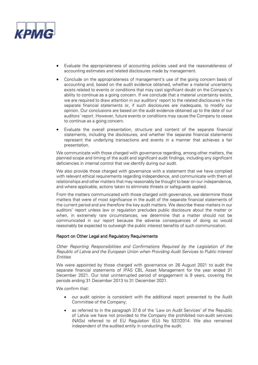

- Evaluate the appropriateness of accounting policies used and the reasonableness of accounting estimates and related disclosures made by management.
- Conclude on the appropriateness of management's use of the going concern basis of accounting and, based on the audit evidence obtained, whether a material uncertainty exists related to events or conditions that may cast significant doubt on the Company's ability to continue as a going concern. If we conclude that a material uncertainty exists, we are required to draw attention in our auditors' report to the related disclosures in the separate financial statements or, if such disclosures are inadequate, to modify our opinion. Our conclusions are based on the audit evidence obtained up to the date of our auditors' report. However, future events or conditions may cause the Company to cease to continue as a going concern.
- Evaluate the overall presentation, structure and content of the separate financial statements, including the disclosures, and whether the separate financial statements represent the underlying transactions and events in a manner that achieves a fair presentation.

We communicate with those charged with governance regarding, among other matters, the planned scope and timing of the audit and significant audit findings, including any significant deficiencies in internal control that we identify during our audit.

We also provide those charged with governance with a statement that we have complied with relevant ethical requirements regarding independence, and communicate with them all relationships and other matters that may reasonably be thought to bear on our independence, and where applicable, actions taken to eliminate threats or safeguards applied.

From the matters communicated with those charged with governance, we determine those matters that were of most significance in the audit of the separate financial statements of the current period and are therefore the key audit matters. We describe these matters in our auditors' report unless law or regulation precludes public disclosure about the matter or when, in extremely rare circumstances, we determine that a matter should not be communicated in our report because the adverse consequences of doing so would reasonably be expected to outweigh the public interest benefits of such communication.

#### Report on Other Legal and Regulatory Requirements

*Other Reporting Responsibilities and Confirmations Required by the Legislation of the Republic of Latvia and the European Union when Providing Audit Services to Public Interest Entities*

We were appointed by those charged with governance on 26 August 2021 to audit the separate financial statements of IPAS CBL Asset Management for the year ended 31 December 2021. Our total uninterrupted period of engagement is 9 years, covering the periods ending 31 December 2013 to 31 December 2021.

We confirm that:

- our audit opinion is consistent with the additional report presented to the Audit Committee of the Company;
- as referred to in the paragraph 37.6 of the 'Law on Audit Services' of the Republic of Latvia we have not provided to the Company the prohibited non-audit services (NASs) referred to of EU Regulation (EU) No 537/2014. We also remained independent of the audited entity in conducting the audit.